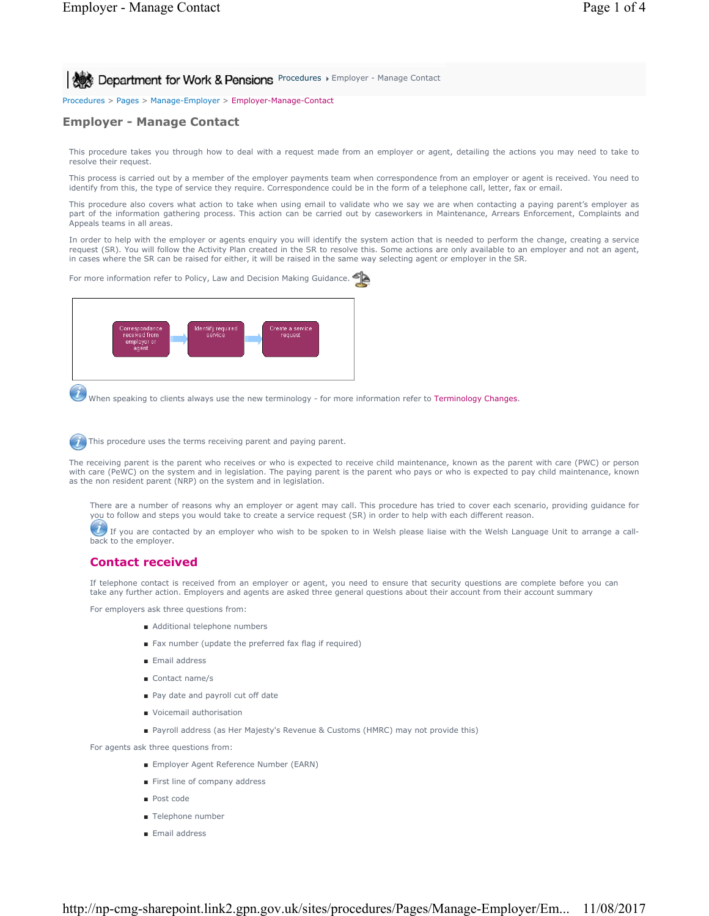**Procedures > Employer - Manage Contact** 8 **Department for Work & Pensions** Procedures > Employer - Manage Contact

Procedures > Pages > Manage-Employer > Employer-Manage-Contact

## **Employer - Manage Contact**

This procedure takes you through how to deal with a request made from an employer or agent, detailing the actions you may need to take to resolve their request.

This process is carried out by a member of the employer payments team when correspondence from an employer or agent is received. You need to identify from this, the type of service they require. Correspondence could be in the form of a telephone call, letter, fax or email.

This procedure also covers what action to take when using email to validate who we say we are when contacting a paying parent's employer as part of the information gathering process. This action can be carried out by caseworkers in Maintenance, Arrears Enforcement, Complaints and Appeals teams in all areas.

In order to help with the employer or agents enquiry you will identify the system action that is needed to perform the change, creating a service request (SR). You will follow the Activity Plan created in the SR to resolve this. Some actions are only available to an employer and not an agent, in cases where the SR can be raised for either, it will be raised in the same way selecting agent or employer in the SR.

For more information refer to Policy, Law and Decision Making Guidance.



When speaking to clients always use the new terminology - for more information refer to Terminology Changes.

This procedure uses the terms receiving parent and paying parent.

The receiving parent is the parent who receives or who is expected to receive child maintenance, known as the parent with care (PWC) or person with care (PeWC) on the system and in legislation. The paying parent is the parent who pays or who is expected to pay child maintenance, known as the non resident parent (NRP) on the system and in legislation.

There are a number of reasons why an employer or agent may call. This procedure has tried to cover each scenario, providing guidance for you to follow and steps you would take to create a service request (SR) in order to help with each different reason.

 $U$  If you are contacted by an employer who wish to be spoken to in Welsh please liaise with the Welsh Language Unit to arrange a callback to the employer.

# **Contact received**

If telephone contact is received from an employer or agent, you need to ensure that security questions are complete before you can take any further action. Employers and agents are asked three general questions about their account from their account summary

For employers ask three questions from:

- Additional telephone numbers
- Fax number (update the preferred fax flag if required)
- Email address
- Contact name/s
- Pay date and payroll cut off date
- Voicemail authorisation
- Payroll address (as Her Majesty's Revenue & Customs (HMRC) may not provide this)

For agents ask three questions from:

- Employer Agent Reference Number (EARN)
- First line of company address
- Post code
- Telephone number
- Email address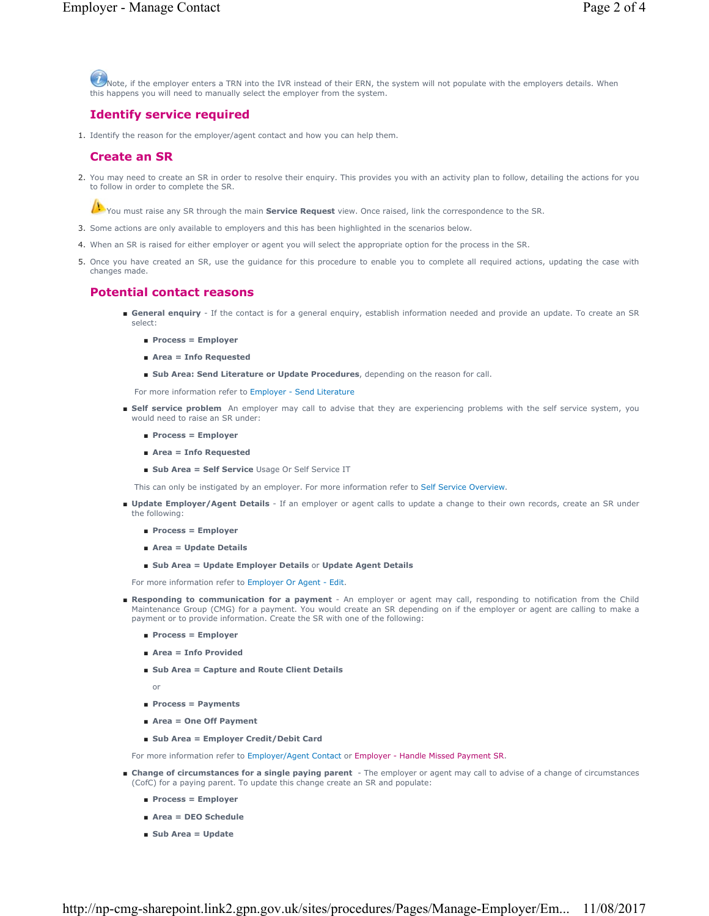Note, if the employer enters a TRN into the IVR instead of their ERN, the system will not populate with the employers details. When this happens you will need to manually select the employer from the system.

# **Identify service required**

1. Identify the reason for the employer/agent contact and how you can help them.

## **Create an SR**

2. You may need to create an SR in order to resolve their enquiry. This provides you with an activity plan to follow, detailing the actions for you to follow in order to complete the SR.

You must raise any SR through the main **Service Request** view. Once raised, link the correspondence to the SR.

- 3. Some actions are only available to employers and this has been highlighted in the scenarios below.
- 4. When an SR is raised for either employer or agent you will select the appropriate option for the process in the SR.
- 5. Once you have created an SR, use the guidance for this procedure to enable you to complete all required actions, updating the case with changes made.

### **Potential contact reasons**

- General enquiry If the contact is for a general enquiry, establish information needed and provide an update. To create an SR select:
	- **Process = Employer**
	- **Area = Info Requested**
	- **Sub Area: Send Literature or Update Procedures**, depending on the reason for call.

For more information refer to Employer - Send Literature

- Self service problem An employer may call to advise that they are experiencing problems with the self service system, you would need to raise an SR under:
	- **Process = Employer**
	- **Area = Info Requested**
	- **Sub Area = Self Service** Usage Or Self Service IT

This can only be instigated by an employer. For more information refer to Self Service Overview.

- Update Employer/Agent Details If an employer or agent calls to update a change to their own records, create an SR under the following:
	- **Process = Employer**
	- **Area = Update Details**
	- **Sub Area = Update Employer Details** or **Update Agent Details**

For more information refer to Employer Or Agent - Edit.

- Responding to communication for a payment An employer or agent may call, responding to notification from the Child Maintenance Group (CMG) for a payment. You would create an SR depending on if the employer or agent are calling to make a payment or to provide information. Create the SR with one of the following:
	- **Process = Employer**
	- **Area = Info Provided**
	- Sub Area = Capture and Route Client Details

or

- **Process = Payments**
- **Area = One Off Payment**
- **Sub Area = Employer Credit/Debit Card**

For more information refer to Employer/Agent Contact or Employer - Handle Missed Payment SR.

- Change of circumstances for a single paying parent The employer or agent may call to advise of a change of circumstances (CofC) for a paying parent. To update this change create an SR and populate:
	- **Process = Employer**
	- **Area = DEO Schedule**
	- **Sub Area = Update**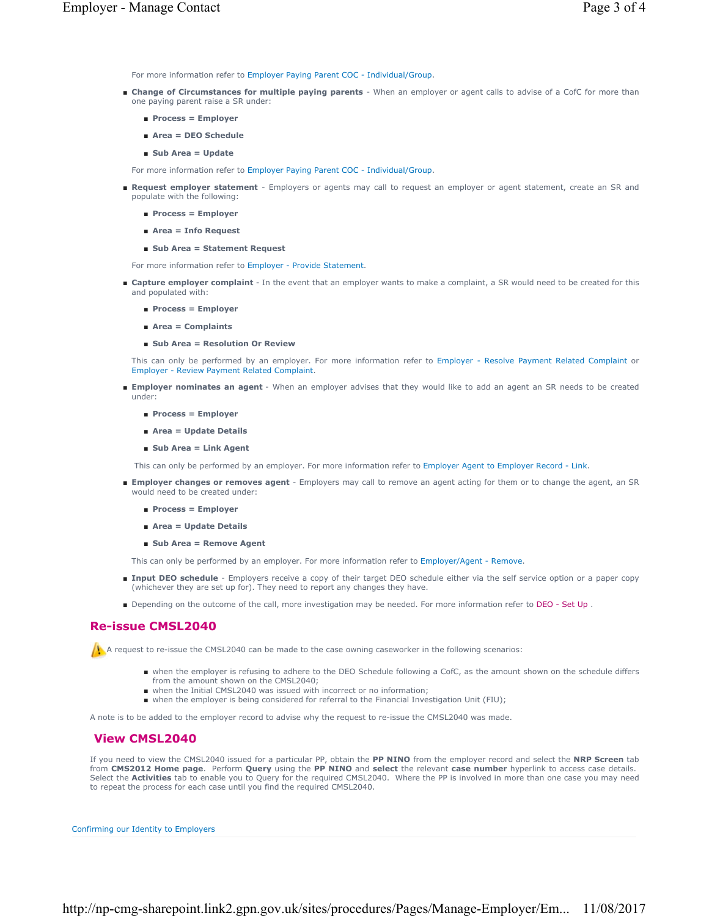For more information refer to Employer Paying Parent COC - Individual/Group.

- Change of Circumstances for multiple paying parents When an employer or agent calls to advise of a CofC for more than one paying parent raise a SR under:
	- **Process = Employer**
	- **Area = DEO Schedule**
	- **Sub Area = Update**

For more information refer to Employer Paying Parent COC - Individual/Group.

- Request employer statement Employers or agents may call to request an employer or agent statement, create an SR and populate with the following:
	- **Process = Employer**
	- **Area = Info Request**

#### ■ **Sub Area = Statement Request**

For more information refer to Employer - Provide Statement.

- Capture employer complaint In the event that an employer wants to make a complaint, a SR would need to be created for this and populated with:
	- **Process = Employer**
	- **Area = Complaints**
	- **Sub Area = Resolution Or Review**

This can only be performed by an employer. For more information refer to Employer - Resolve Payment Related Complaint or Employer - Review Payment Related Complaint.

- Employer nominates an agent When an employer advises that they would like to add an agent an SR needs to be created under:
	- **Process = Employer**
	- **Area = Update Details**
	- **Sub Area = Link Agent**

This can only be performed by an employer. For more information refer to Employer Agent to Employer Record - Link.

- **Employer changes or removes agent** Employers may call to remove an agent acting for them or to change the agent, an SR would need to be created under:
	- **Process = Employer**
	- **Area = Update Details**
	- **Sub Area = Remove Agent**

This can only be performed by an employer. For more information refer to Employer/Agent - Remove.

- Input DEO schedule Employers receive a copy of their target DEO schedule either via the self service option or a paper copy (whichever they are set up for). They need to report any changes they have.
- Depending on the outcome of the call, more investigation may be needed. For more information refer to DEO Set Up.

# **Re-issue CMSL2040**

 $\Lambda$  A request to re-issue the CMSL2040 can be made to the case owning caseworker in the following scenarios:

- when the employer is refusing to adhere to the DEO Schedule following a CofC, as the amount shown on the schedule differs from the amount shown on the CMSL2040;
- when the Initial CMSL2040 was issued with incorrect or no information;
- when the employer is being considered for referral to the Financial Investigation Unit (FIU);

A note is to be added to the employer record to advise why the request to re-issue the CMSL2040 was made.

## **View CMSL2040**

If you need to view the CMSL2040 issued for a particular PP, obtain the **PP NINO** from the employer record and select the **NRP Screen** tab from **CMS2012 Home page**. Perform **Query** using the **PP NINO** and **select** the relevant **case number** hyperlink to access case details. Select the **Activities** tab to enable you to Query for the required CMSL2040. Where the PP is involved in more than one case you may need to repeat the process for each case until you find the required CMSL2040.

Confirming our Identity to Employers